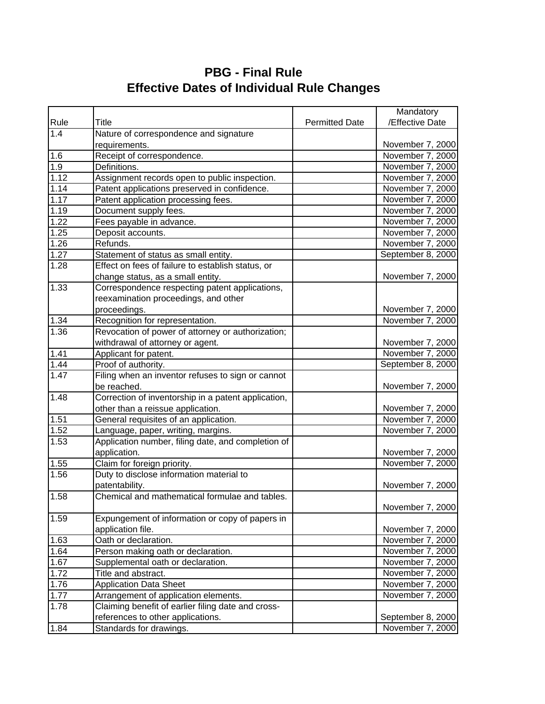## **PBG - Final Rule Effective Dates of Individual Rule Changes**

|      |                                                     |                       | Mandatory         |
|------|-----------------------------------------------------|-----------------------|-------------------|
| Rule | Title                                               | <b>Permitted Date</b> | /Effective Date   |
| 1.4  | Nature of correspondence and signature              |                       |                   |
|      | requirements.                                       |                       | November 7, 2000  |
| 1.6  | Receipt of correspondence.                          |                       | November 7, 2000  |
| 1.9  | Definitions.                                        |                       | November 7, 2000  |
| 1.12 | Assignment records open to public inspection.       |                       | November 7, 2000  |
| 1.14 | Patent applications preserved in confidence.        |                       | November 7, 2000  |
| 1.17 | Patent application processing fees.                 |                       | November 7, 2000  |
| 1.19 | Document supply fees.                               |                       | November 7, 2000  |
| 1.22 | Fees payable in advance.                            |                       | November 7, 2000  |
| 1.25 | Deposit accounts.                                   |                       | November 7, 2000  |
| 1.26 | Refunds.                                            |                       | November 7, 2000  |
| 1.27 | Statement of status as small entity.                |                       | September 8, 2000 |
| 1.28 | Effect on fees of failure to establish status, or   |                       |                   |
|      | change status, as a small entity.                   |                       | November 7, 2000  |
| 1.33 | Correspondence respecting patent applications,      |                       |                   |
|      | reexamination proceedings, and other                |                       |                   |
|      | proceedings.                                        |                       | November 7, 2000  |
| 1.34 | Recognition for representation.                     |                       | November 7, 2000  |
| 1.36 | Revocation of power of attorney or authorization;   |                       |                   |
|      | withdrawal of attorney or agent.                    |                       | November 7, 2000  |
| 1.41 | Applicant for patent.                               |                       | November 7, 2000  |
| 1.44 | Proof of authority.                                 |                       | September 8, 2000 |
| 1.47 | Filing when an inventor refuses to sign or cannot   |                       |                   |
|      | be reached.                                         |                       | November 7, 2000  |
| 1.48 | Correction of inventorship in a patent application, |                       |                   |
|      | other than a reissue application.                   |                       | November 7, 2000  |
| 1.51 | General requisites of an application.               |                       | November 7, 2000  |
| 1.52 | Language, paper, writing, margins.                  |                       | November 7, 2000  |
| 1.53 | Application number, filing date, and completion of  |                       |                   |
|      | application.                                        |                       | November 7, 2000  |
| 1.55 | Claim for foreign priority.                         |                       | November 7, 2000  |
| 1.56 | Duty to disclose information material to            |                       |                   |
|      | patentability.                                      |                       | November 7, 2000  |
| 1.58 | Chemical and mathematical formulae and tables.      |                       | November 7, 2000  |
| 1.59 | Expungement of information or copy of papers in     |                       |                   |
|      | application file.                                   |                       | November 7, 2000  |
| 1.63 | Oath or declaration.                                |                       | November 7, 2000  |
| 1.64 | Person making oath or declaration.                  |                       | November 7, 2000  |
| 1.67 | Supplemental oath or declaration.                   |                       | November 7, 2000  |
| 1.72 | Title and abstract.                                 |                       | November 7, 2000  |
| 1.76 | <b>Application Data Sheet</b>                       |                       | November 7, 2000  |
| 1.77 | Arrangement of application elements.                |                       | November 7, 2000  |
| 1.78 | Claiming benefit of earlier filing date and cross-  |                       |                   |
|      | references to other applications.                   |                       | September 8, 2000 |
| 1.84 | Standards for drawings.                             |                       | November 7, 2000  |
|      |                                                     |                       |                   |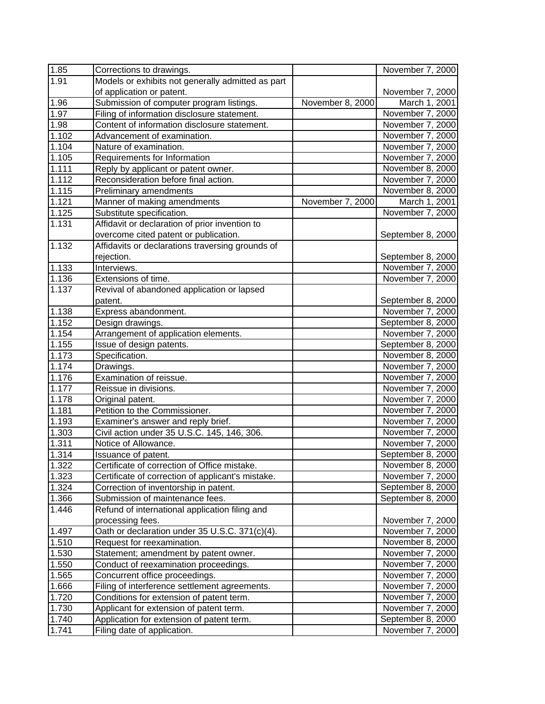| 1.85  | Corrections to drawings.                          |                  | November 7, 2000  |
|-------|---------------------------------------------------|------------------|-------------------|
| 1.91  | Models or exhibits not generally admitted as part |                  |                   |
|       | of application or patent.                         |                  | November 7, 2000  |
| 1.96  | Submission of computer program listings.          | November 8, 2000 | March 1, 2001     |
| 1.97  | Filing of information disclosure statement.       |                  | November 7, 2000  |
| 1.98  | Content of information disclosure statement.      |                  | November 7, 2000  |
| 1.102 | Advancement of examination.                       |                  | November 7, 2000  |
| 1.104 | Nature of examination.                            |                  | November 7, 2000  |
| 1.105 | Requirements for Information                      |                  | November 7, 2000  |
| 1.111 | Reply by applicant or patent owner.               |                  | November 8, 2000  |
| 1.112 | Reconsideration before final action.              |                  | November 7, 2000  |
| 1.115 | Preliminary amendments                            |                  | November 8, 2000  |
| 1.121 | Manner of making amendments                       | November 7, 2000 | March 1, 2001     |
| 1.125 | Substitute specification.                         |                  | November 7, 2000  |
| 1.131 | Affidavit or declaration of prior invention to    |                  |                   |
|       | overcome cited patent or publication.             |                  | September 8, 2000 |
| 1.132 | Affidavits or declarations traversing grounds of  |                  |                   |
|       | rejection.                                        |                  | September 8, 2000 |
| 1.133 | Interviews.                                       |                  | November 7, 2000  |
| 1.136 | Extensions of time.                               |                  | November 7, 2000  |
| 1.137 | Revival of abandoned application or lapsed        |                  |                   |
|       | patent.                                           |                  | September 8, 2000 |
| 1.138 | Express abandonment.                              |                  | November 7, 2000  |
| 1.152 | Design drawings.                                  |                  | September 8, 2000 |
| 1.154 | Arrangement of application elements.              |                  | November 7, 2000  |
| 1.155 | Issue of design patents.                          |                  | September 8, 2000 |
| 1.173 | Specification.                                    |                  | November 8, 2000  |
| 1.174 | Drawings.                                         |                  | November 7, 2000  |
| 1.176 | Examination of reissue.                           |                  | November 7, 2000  |
| 1.177 | Reissue in divisions.                             |                  | November 7, 2000  |
| 1.178 | Original patent.                                  |                  | November 7, 2000  |
| 1.181 | Petition to the Commissioner.                     |                  | November 7, 2000  |
| 1.193 | Examiner's answer and reply brief.                |                  | November 7, 2000  |
| 1.303 | Civil action under 35 U.S.C. 145, 146, 306.       |                  | November 7, 2000  |
| 1.311 | Notice of Allowance.                              |                  | November 7, 2000  |
| 1.314 | Issuance of patent.                               |                  | September 8, 2000 |
| 1.322 | Certificate of correction of Office mistake.      |                  | November 8, 2000  |
| 1.323 | Certificate of correction of applicant's mistake. |                  | November 7, 2000  |
| 1.324 | Correction of inventorship in patent.             |                  | September 8, 2000 |
| 1.366 | Submission of maintenance fees.                   |                  | September 8, 2000 |
| 1.446 | Refund of international application filing and    |                  |                   |
|       | processing fees.                                  |                  | November 7, 2000  |
| 1.497 | Oath or declaration under 35 U.S.C. 371(c)(4).    |                  | November 7, 2000  |
| 1.510 | Request for reexamination.                        |                  | November 8, 2000  |
| 1.530 | Statement; amendment by patent owner.             |                  | November 7, 2000  |
| 1.550 | Conduct of reexamination proceedings.             |                  | November 7, 2000  |
| 1.565 | Concurrent office proceedings.                    |                  | November 7, 2000  |
| 1.666 | Filing of interference settlement agreements.     |                  | November 7, 2000  |
| 1.720 | Conditions for extension of patent term.          |                  | November 7, 2000  |
| 1.730 | Applicant for extension of patent term.           |                  | November 7, 2000  |
| 1.740 | Application for extension of patent term.         |                  | September 8, 2000 |
| 1.741 | Filing date of application.                       |                  | November 7, 2000  |